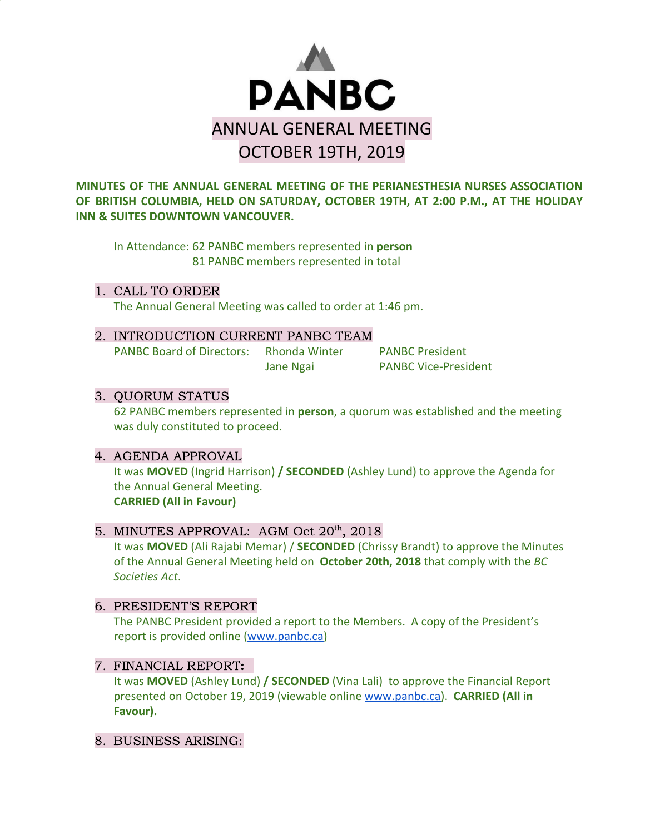

**MINUTES OF THE ANNUAL GENERAL MEETING OF THE PERIANESTHESIA NURSES ASSOCIATION OF BRITISH COLUMBIA, HELD ON SATURDAY, OCTOBER 19TH, AT 2:00 P.M., AT THE HOLIDAY INN & SUITES DOWNTOWN VANCOUVER.**

In Attendance: 62 PANBC members represented in **person** 81 PANBC members represented in total

1. CALL TO ORDER The Annual General Meeting was called to order at 1:46 pm.

2. INTRODUCTION CURRENT PANBC TEAM PANBC Board of Directors: Rhonda Winter PANBC President Jane Ngai PANBC Vice-President

## 3. QUORUM STATUS

62 PANBC members represented in **person**, a quorum was established and the meeting was duly constituted to proceed.

## 4. AGENDA APPROVAL

It was **MOVED** (Ingrid Harrison) **/ SECONDED** (Ashley Lund) to approve the Agenda for the Annual General Meeting. **CARRIED (All in Favour)**

## 5. MINUTES APPROVAL: AGM Oct 20<sup>th</sup>, 2018

It was **MOVED** (Ali Rajabi Memar) / **SECONDED** (Chrissy Brandt) to approve the Minutes of the Annual General Meeting held on **October 20th, 2018** that comply with the *BC Societies Act*.

6. PRESIDENT'S REPORT

The PANBC President provided a report to the Members. A copy of the President's report is provided online ([www.panbc.ca\)](http://www.panbc.ca/)

#### 7. FINANCIAL REPORT:

It was **MOVED** (Ashley Lund) **/ SECONDED** (Vina Lali) to approve the Financial Report presented on October 19, 2019 (viewable online [www.panbc.ca](http://www.panbc.ca/)). **CARRIED (All in Favour).**

8. BUSINESS ARISING: